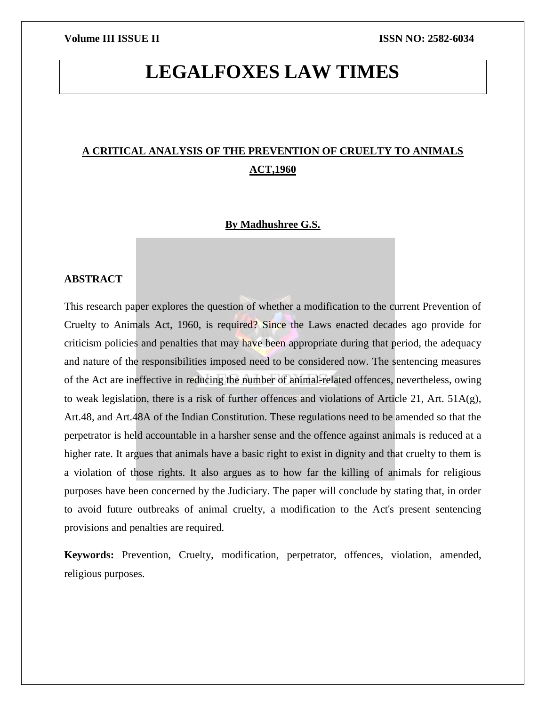# **LEGALFOXES LAW TIMES**

## **A CRITICAL ANALYSIS OF THE PREVENTION OF CRUELTY TO ANIMALS ACT,1960**

### **By Madhushree G.S.**

### **ABSTRACT**

This research paper explores the question of whether a modification to the current Prevention of Cruelty to Animals Act, 1960, is required? Since the Laws enacted decades ago provide for criticism policies and penalties that may have been appropriate during that period, the adequacy and nature of the responsibilities imposed need to be considered now. The sentencing measures of the Act are ineffective in reducing the number of animal-related offences, nevertheless, owing to weak legislation, there is a risk of further offences and violations of Article 21, Art. 51A(g), Art.48, and Art.48A of the Indian Constitution. These regulations need to be amended so that the perpetrator is held accountable in a harsher sense and the offence against animals is reduced at a higher rate. It argues that animals have a basic right to exist in dignity and that cruelty to them is a violation of those rights. It also argues as to how far the killing of animals for religious purposes have been concerned by the Judiciary. The paper will conclude by stating that, in order to avoid future outbreaks of animal cruelty, a modification to the Act's present sentencing provisions and penalties are required.

**Keywords:** Prevention, Cruelty, modification, perpetrator, offences, violation, amended, religious purposes.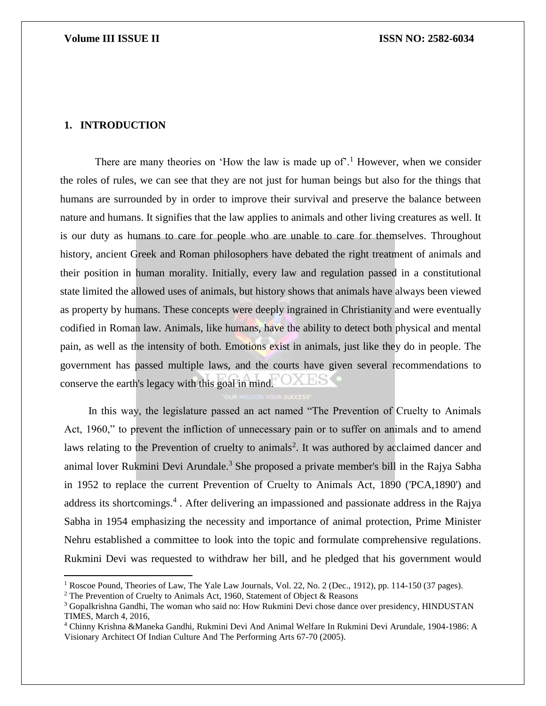### **1. INTRODUCTION**

 $\overline{\phantom{a}}$ 

There are many theories on 'How the law is made up of'.<sup>1</sup> However, when we consider the roles of rules, we can see that they are not just for human beings but also for the things that humans are surrounded by in order to improve their survival and preserve the balance between nature and humans. It signifies that the law applies to animals and other living creatures as well. It is our duty as humans to care for people who are unable to care for themselves. Throughout history, ancient Greek and Roman philosophers have debated the right treatment of animals and their position in human morality. Initially, every law and regulation passed in a constitutional state limited the allowed uses of animals, but history shows that animals have always been viewed as property by humans. These concepts were deeply ingrained in Christianity and were eventually codified in Roman law. Animals, like humans, have the ability to detect both physical and mental pain, as well as the intensity of both. Emotions exist in animals, just like they do in people. The government has passed multiple laws, and the courts have given several recommendations to conserve the earth's legacy with this goal in mind.

 In this way, the legislature passed an act named "The Prevention of Cruelty to Animals Act, 1960," to prevent the infliction of unnecessary pain or to suffer on animals and to amend laws relating to the Prevention of cruelty to animals<sup>2</sup>. It was authored by acclaimed dancer and animal lover Rukmini Devi Arundale.<sup>3</sup> She proposed a private member's bill in the Rajya Sabha in 1952 to replace the current Prevention of Cruelty to Animals Act, 1890 ('PCA,1890') and address its shortcomings.<sup>4</sup>. After delivering an impassioned and passionate address in the Rajya Sabha in 1954 emphasizing the necessity and importance of animal protection, Prime Minister Nehru established a committee to look into the topic and formulate comprehensive regulations. Rukmini Devi was requested to withdraw her bill, and he pledged that his government would

<sup>&</sup>lt;sup>1</sup> Roscoe Pound, Theories of Law, The Yale Law Journals, Vol. 22, No. 2 (Dec., 1912), pp. 114-150 (37 pages).

<sup>&</sup>lt;sup>2</sup> The Prevention of Cruelty to Animals Act, 1960, Statement of Object  $\&$  Reasons

<sup>&</sup>lt;sup>3</sup> Gopalkrishna Gandhi, The woman who said no: How Rukmini Devi chose dance over presidency, HINDUSTAN TIMES, March 4, 2016,

<sup>4</sup> Chinny Krishna &Maneka Gandhi, Rukmini Devi And Animal Welfare In Rukmini Devi Arundale, 1904-1986: A Visionary Architect Of Indian Culture And The Performing Arts 67-70 (2005).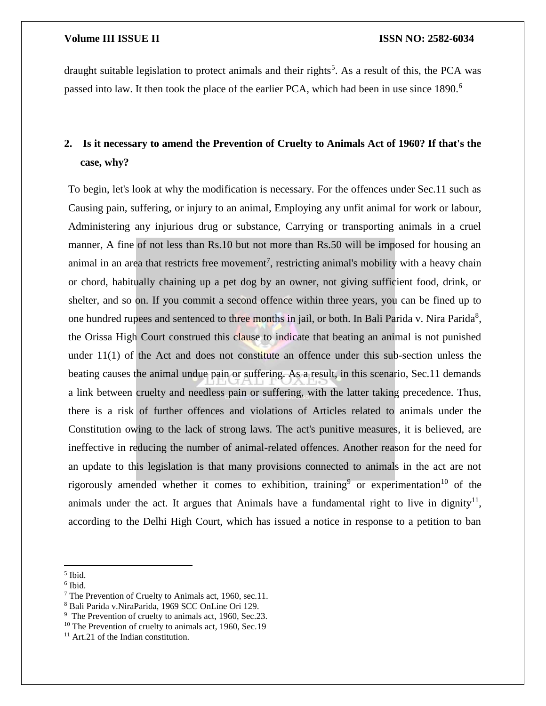draught suitable legislation to protect animals and their rights<sup>5</sup>. As a result of this, the PCA was passed into law. It then took the place of the earlier PCA, which had been in use since 1890.<sup>6</sup>

# **2. Is it necessary to amend the Prevention of Cruelty to Animals Act of 1960? If that's the case, why?**

To begin, let's look at why the modification is necessary. For the offences under Sec.11 such as Causing pain, suffering, or injury to an animal, Employing any unfit animal for work or labour, Administering any injurious drug or substance, Carrying or transporting animals in a cruel manner, A fine of not less than Rs.10 but not more than Rs.50 will be imposed for housing an animal in an area that restricts free movement<sup>7</sup>, restricting animal's mobility with a heavy chain or chord, habitually chaining up a pet dog by an owner, not giving sufficient food, drink, or shelter, and so on. If you commit a second offence within three years, you can be fined up to one hundred rupees and sentenced to three months in jail, or both. In Bali Parida v. Nira Parida<sup>8</sup>, the Orissa High Court construed this clause to indicate that beating an animal is not punished under 11(1) of the Act and does not constitute an offence under this sub-section unless the beating causes the animal undue pain or suffering. As a result, in this scenario, Sec.11 demands a link between cruelty and needless pain or suffering, with the latter taking precedence. Thus, there is a risk of further offences and violations of Articles related to animals under the Constitution owing to the lack of strong laws. The act's punitive measures, it is believed, are ineffective in reducing the number of animal-related offences. Another reason for the need for an update to this legislation is that many provisions connected to animals in the act are not rigorously amended whether it comes to exhibition, training<sup>9</sup> or experimentation<sup>10</sup> of the animals under the act. It argues that Animals have a fundamental right to live in dignity<sup>11</sup>, according to the Delhi High Court, which has issued a notice in response to a petition to ban

 $\overline{\phantom{a}}$ 

<sup>5</sup> Ibid.

<sup>6</sup> Ibid.

<sup>&</sup>lt;sup>7</sup> The Prevention of Cruelty to Animals act, 1960, sec.11.

<sup>8</sup> Bali Parida v.NiraParida, 1969 SCC OnLine Ori 129.

<sup>&</sup>lt;sup>9</sup> The Prevention of cruelty to animals act, 1960, Sec.23.

<sup>&</sup>lt;sup>10</sup> The Prevention of cruelty to animals act, 1960, Sec.19

<sup>&</sup>lt;sup>11</sup> Art.21 of the Indian constitution.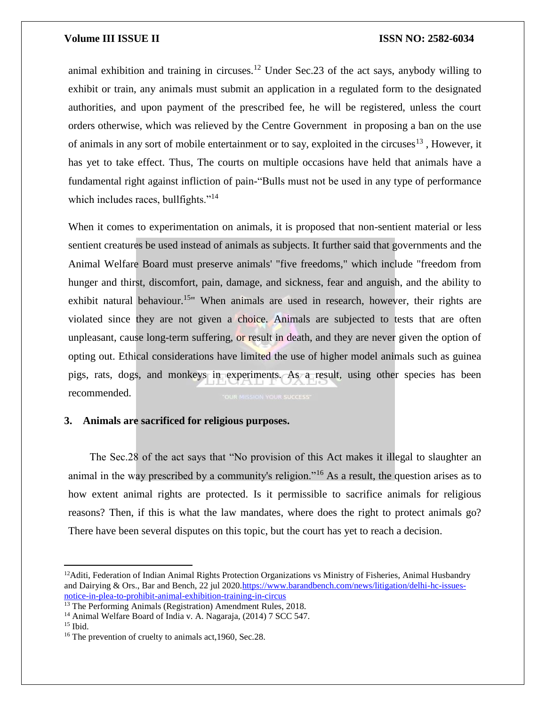animal exhibition and training in circuses.<sup>12</sup> Under Sec.23 of the act says, anybody willing to exhibit or train, any animals must submit an application in a regulated form to the designated authorities, and upon payment of the prescribed fee, he will be registered, unless the court orders otherwise, which was relieved by the Centre Government in proposing a ban on the use of animals in any sort of mobile entertainment or to say, exploited in the circuses<sup>13</sup>, However, it has yet to take effect. Thus, The courts on multiple occasions have held that animals have a fundamental right against infliction of pain-"Bulls must not be used in any type of performance which includes races, bullfights."<sup>14</sup>

When it comes to experimentation on animals, it is proposed that non-sentient material or less sentient creatures be used instead of animals as subjects. It further said that governments and the Animal Welfare Board must preserve animals' "five freedoms," which include "freedom from hunger and thirst, discomfort, pain, damage, and sickness, fear and anguish, and the ability to exhibit natural behaviour.<sup>15"</sup> When animals are used in research, however, their rights are violated since they are not given a choice. Animals are subjected to tests that are often unpleasant, cause long-term suffering, or result in death, and they are never given the option of opting out. Ethical considerations have limited the use of higher model animals such as guinea pigs, rats, dogs, and monkeys in experiments. As a result, using other species has been recommended.

### **3. Animals are sacrificed for religious purposes.**

 The Sec.28 of the act says that "No provision of this Act makes it illegal to slaughter an animal in the way prescribed by a community's religion."<sup>16</sup> As a result, the question arises as to how extent animal rights are protected. Is it permissible to sacrifice animals for religious reasons? Then, if this is what the law mandates, where does the right to protect animals go? There have been several disputes on this topic, but the court has yet to reach a decision.

 $\overline{\phantom{a}}$ 

 $12$ Aditi, Federation of Indian Animal Rights Protection Organizations vs Ministry of Fisheries, Animal Husbandry and Dairying & Ors., Bar and Bench, 22 jul 202[0.https://www.barandbench.com/news/litigation/delhi-hc-issues](https://www.barandbench.com/news/litigation/delhi-hc-issues-notice-in-plea-to-prohibit-animal-exhibition-training-in-circus)[notice-in-plea-to-prohibit-animal-exhibition-training-in-circus](https://www.barandbench.com/news/litigation/delhi-hc-issues-notice-in-plea-to-prohibit-animal-exhibition-training-in-circus)

<sup>&</sup>lt;sup>13</sup> The Performing Animals (Registration) Amendment Rules, 2018.

<sup>14</sup> Animal Welfare Board of India v. A. Nagaraja, (2014) 7 SCC 547.

 $15$  Ibid.

<sup>&</sup>lt;sup>16</sup> The prevention of cruelty to animals act, 1960, Sec. 28.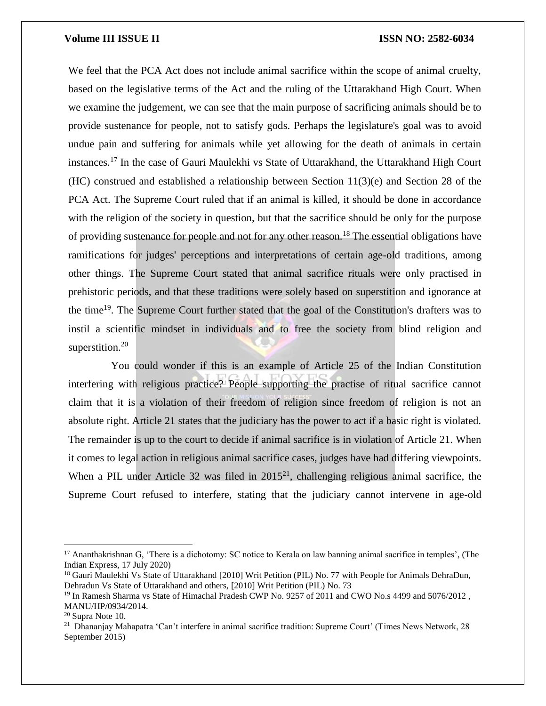We feel that the PCA Act does not include animal sacrifice within the scope of animal cruelty, based on the legislative terms of the Act and the ruling of the Uttarakhand High Court. When we examine the judgement, we can see that the main purpose of sacrificing animals should be to provide sustenance for people, not to satisfy gods. Perhaps the legislature's goal was to avoid undue pain and suffering for animals while yet allowing for the death of animals in certain instances.<sup>17</sup> In the case of Gauri Maulekhi vs State of Uttarakhand, the Uttarakhand High Court (HC) construed and established a relationship between Section 11(3)(e) and Section 28 of the PCA Act. The Supreme Court ruled that if an animal is killed, it should be done in accordance with the religion of the society in question, but that the sacrifice should be only for the purpose of providing sustenance for people and not for any other reason.<sup>18</sup> The essential obligations have ramifications for judges' perceptions and interpretations of certain age-old traditions, among other things. The Supreme Court stated that animal sacrifice rituals were only practised in prehistoric periods, and that these traditions were solely based on superstition and ignorance at the time<sup>19</sup>. The Supreme Court further stated that the goal of the Constitution's drafters was to instil a scientific mindset in individuals and to free the society from blind religion and superstition.<sup>20</sup>

 You could wonder if this is an example of Article 25 of the Indian Constitution interfering with religious practice? People supporting the practise of ritual sacrifice cannot claim that it is a violation of their freedom of religion since freedom of religion is not an absolute right. Article 21 states that the judiciary has the power to act if a basic right is violated. The remainder is up to the court to decide if animal sacrifice is in violation of Article 21. When it comes to legal action in religious animal sacrifice cases, judges have had differing viewpoints. When a PIL under Article 32 was filed in  $2015^{21}$ , challenging religious animal sacrifice, the Supreme Court refused to interfere, stating that the judiciary cannot intervene in age-old

 $\overline{\phantom{a}}$ 

<sup>&</sup>lt;sup>17</sup> Ananthakrishnan G, 'There is a dichotomy: SC notice to Kerala on law banning animal sacrifice in temples', (The Indian Express, 17 July 2020)

<sup>&</sup>lt;sup>18</sup> Gauri Maulekhi Vs State of Uttarakhand [2010] Writ Petition (PIL) No. 77 with People for Animals DehraDun, Dehradun Vs State of Uttarakhand and others, [2010] Writ Petition (PIL) No. 73

<sup>&</sup>lt;sup>19</sup> In Ramesh Sharma vs State of Himachal Pradesh CWP No. 9257 of 2011 and CWO No.s 4499 and 5076/2012, MANU/HP/0934/2014.

 $20$  Supra Note 10.

<sup>&</sup>lt;sup>21</sup> Dhananjay Mahapatra 'Can't interfere in animal sacrifice tradition: Supreme Court' (Times News Network, 28 September 2015)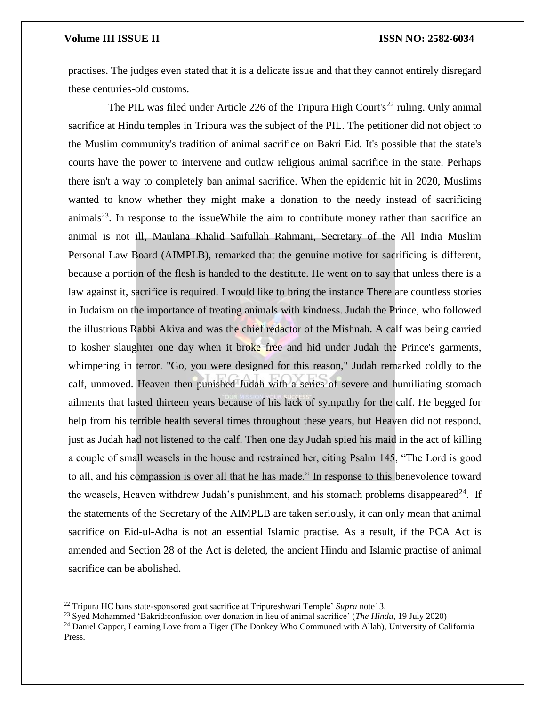$\overline{a}$ 

practises. The judges even stated that it is a delicate issue and that they cannot entirely disregard these centuries-old customs.

The PIL was filed under Article 226 of the Tripura High Court's<sup>22</sup> ruling. Only animal sacrifice at Hindu temples in Tripura was the subject of the PIL. The petitioner did not object to the Muslim community's tradition of animal sacrifice on Bakri Eid. It's possible that the state's courts have the power to intervene and outlaw religious animal sacrifice in the state. Perhaps there isn't a way to completely ban animal sacrifice. When the epidemic hit in 2020, Muslims wanted to know whether they might make a donation to the needy instead of sacrificing  $\text{animals}^{23}$ . In response to the issueWhile the aim to contribute money rather than sacrifice an animal is not ill, Maulana Khalid Saifullah Rahmani, Secretary of the All India Muslim Personal Law Board (AIMPLB), remarked that the genuine motive for sacrificing is different, because a portion of the flesh is handed to the destitute. He went on to say that unless there is a law against it, sacrifice is required. I would like to bring the instance There are countless stories in Judaism on the importance of treating animals with kindness. Judah the Prince, who followed the illustrious Rabbi Akiva and was the chief redactor of the Mishnah. A calf was being carried to kosher slaughter one day when it broke free and hid under Judah the Prince's garments, whimpering in terror. "Go, you were designed for this reason," Judah remarked coldly to the calf, unmoved. Heaven then punished Judah with a series of severe and humiliating stomach ailments that lasted thirteen years because of his lack of sympathy for the calf. He begged for help from his terrible health several times throughout these years, but Heaven did not respond, just as Judah had not listened to the calf. Then one day Judah spied his maid in the act of killing a couple of small weasels in the house and restrained her, citing Psalm 145, "The Lord is good to all, and his compassion is over all that he has made." In response to this benevolence toward the weasels, Heaven withdrew Judah's punishment, and his stomach problems disappeared<sup>24</sup>. If the statements of the Secretary of the AIMPLB are taken seriously, it can only mean that animal sacrifice on Eid-ul-Adha is not an essential Islamic practise. As a result, if the PCA Act is amended and Section 28 of the Act is deleted, the ancient Hindu and Islamic practise of animal sacrifice can be abolished.

<sup>22</sup> Tripura HC bans state-sponsored goat sacrifice at Tripureshwari Temple' *Supra* note13.

<sup>23</sup> Syed Mohammed 'Bakrid:confusion over donation in lieu of animal sacrifice' (*The Hindu*, 19 July 2020)

<sup>&</sup>lt;sup>24</sup> Daniel Capper, Learning Love from a Tiger (The Donkey Who Communed with Allah), University of California Press.